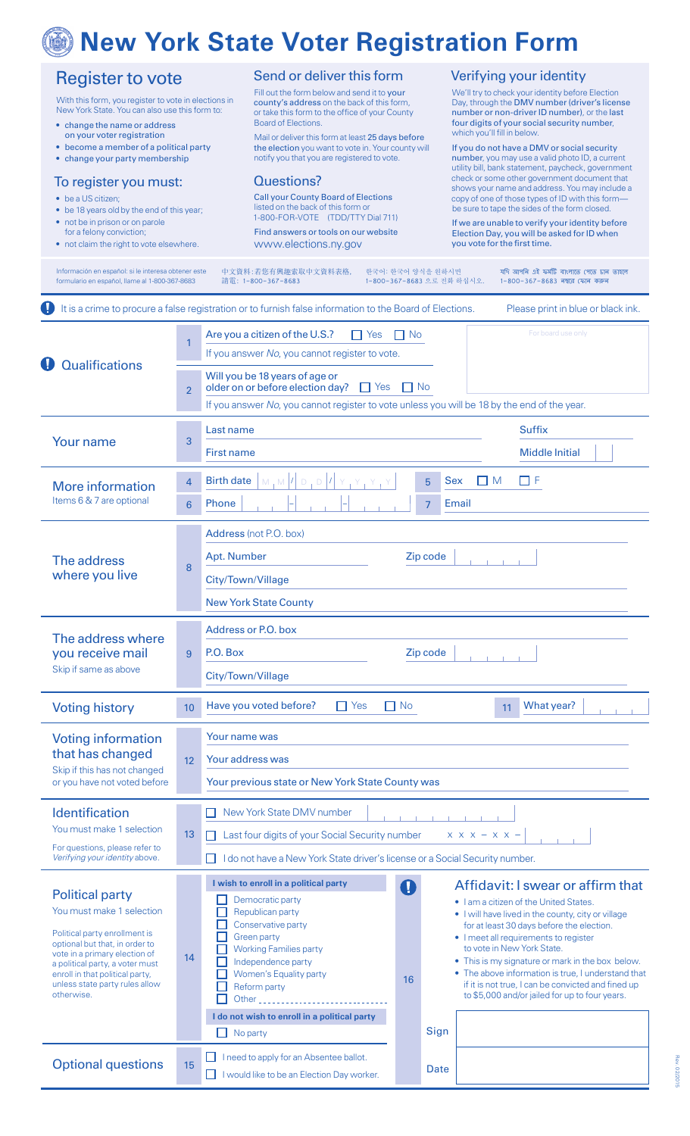# **New York State Voter Registration Form**

| <b>Register to vote</b><br>With this form, you register to vote in elections in<br>New York State. You can also use this form to:<br>• change the name or address<br>on your voter registration<br>• become a member of a political party<br>• change your party membership<br>To register you must:<br>• be a US citizen;<br>• be 18 years old by the end of this year;<br>• not be in prison or on parole<br>for a felony conviction;<br>• not claim the right to vote elsewhere. |                | Send or deliver this form<br>Fill out the form below and send it to your<br>county's address on the back of this form,<br>or take this form to the office of your County<br><b>Board of Elections.</b><br>Mail or deliver this form at least 25 days before<br>the election you want to vote in. Your county will<br>notify you that you are registered to vote.<br>Questions?                                                                                                                                                      |             | Verifying your identity<br>We'll try to check your identity before Election<br>Day, through the DMV number (driver's license<br>number or non-driver ID number), or the last<br>four digits of your social security number,<br>which you'll fill in below.<br>If you do not have a DMV or social security<br>number, you may use a valid photo ID, a current<br>utility bill, bank statement, paycheck, government<br>check or some other government document that      |
|-------------------------------------------------------------------------------------------------------------------------------------------------------------------------------------------------------------------------------------------------------------------------------------------------------------------------------------------------------------------------------------------------------------------------------------------------------------------------------------|----------------|-------------------------------------------------------------------------------------------------------------------------------------------------------------------------------------------------------------------------------------------------------------------------------------------------------------------------------------------------------------------------------------------------------------------------------------------------------------------------------------------------------------------------------------|-------------|-------------------------------------------------------------------------------------------------------------------------------------------------------------------------------------------------------------------------------------------------------------------------------------------------------------------------------------------------------------------------------------------------------------------------------------------------------------------------|
|                                                                                                                                                                                                                                                                                                                                                                                                                                                                                     |                | <b>Call your County Board of Elections</b><br>listed on the back of this form or<br>1-800-FOR-VOTE (TDD/TTY Dial 711)<br>Find answers or tools on our website<br>www.elections.ny.gov                                                                                                                                                                                                                                                                                                                                               |             | shows your name and address. You may include a<br>copy of one of those types of ID with this form-<br>be sure to tape the sides of the form closed.<br>If we are unable to verify your identity before<br>Election Day, you will be asked for ID when<br>you vote for the first time.                                                                                                                                                                                   |
| Información en español: si le interesa obtener este<br>formulario en español, llame al 1-800-367-8683                                                                                                                                                                                                                                                                                                                                                                               |                | 한국어: 한국어 양식을 원하시면<br>中文資料:若您有興趣索取中文資料表格,<br>1-800-367-8683 으로 전화 하십시오.<br>請電: 1-800-367-8683                                                                                                                                                                                                                                                                                                                                                                                                                                        |             | যদি আপনি এই ফৰ্মটি বাংলাতে পেতে চান তাহলে<br>1-800-367-8683 নম্বরে ফোন করুন                                                                                                                                                                                                                                                                                                                                                                                             |
|                                                                                                                                                                                                                                                                                                                                                                                                                                                                                     |                | It is a crime to procure a false registration or to furnish false information to the Board of Elections.                                                                                                                                                                                                                                                                                                                                                                                                                            |             | Please print in blue or black ink.                                                                                                                                                                                                                                                                                                                                                                                                                                      |
| <b>Qualifications</b>                                                                                                                                                                                                                                                                                                                                                                                                                                                               | 1              | Are you a citizen of the U.S.?<br>$\prod$ Yes<br>$\Box$ No<br>If you answer No, you cannot register to vote.                                                                                                                                                                                                                                                                                                                                                                                                                        |             | For board use only                                                                                                                                                                                                                                                                                                                                                                                                                                                      |
|                                                                                                                                                                                                                                                                                                                                                                                                                                                                                     | $\overline{2}$ | Will you be 18 years of age or<br>$\Box$ No<br>older on or before election day?<br>I Yes<br>If you answer No, you cannot register to vote unless you will be 18 by the end of the year.                                                                                                                                                                                                                                                                                                                                             |             |                                                                                                                                                                                                                                                                                                                                                                                                                                                                         |
| <b>Your name</b>                                                                                                                                                                                                                                                                                                                                                                                                                                                                    | 3              | Last name                                                                                                                                                                                                                                                                                                                                                                                                                                                                                                                           |             | <b>Suffix</b>                                                                                                                                                                                                                                                                                                                                                                                                                                                           |
|                                                                                                                                                                                                                                                                                                                                                                                                                                                                                     |                | First name                                                                                                                                                                                                                                                                                                                                                                                                                                                                                                                          |             | <b>Middle Initial</b>                                                                                                                                                                                                                                                                                                                                                                                                                                                   |
| <b>More information</b><br>Items 6 & 7 are optional                                                                                                                                                                                                                                                                                                                                                                                                                                 | $\overline{4}$ | <b>Birth date</b><br>M, M<br>D                                                                                                                                                                                                                                                                                                                                                                                                                                                                                                      | 5           | ⊓⊧<br><b>Sex</b><br>I M                                                                                                                                                                                                                                                                                                                                                                                                                                                 |
|                                                                                                                                                                                                                                                                                                                                                                                                                                                                                     | 6              | Phone                                                                                                                                                                                                                                                                                                                                                                                                                                                                                                                               | 7           | Email                                                                                                                                                                                                                                                                                                                                                                                                                                                                   |
| The address<br>where you live                                                                                                                                                                                                                                                                                                                                                                                                                                                       | 8              | Address (not P.O. box)<br>Zip code<br>Apt. Number<br>City/Town/Village<br><b>New York State County</b>                                                                                                                                                                                                                                                                                                                                                                                                                              |             |                                                                                                                                                                                                                                                                                                                                                                                                                                                                         |
| The address where<br>you receive mail<br>Skip if same as above                                                                                                                                                                                                                                                                                                                                                                                                                      | 9              | Address or P.O. box<br>P.O. Box<br>Zip code<br>City/Town/Village                                                                                                                                                                                                                                                                                                                                                                                                                                                                    |             |                                                                                                                                                                                                                                                                                                                                                                                                                                                                         |
| <b>Voting history</b>                                                                                                                                                                                                                                                                                                                                                                                                                                                               | 10             | $\Box$ No<br>Have you voted before?<br>$\Box$ Yes                                                                                                                                                                                                                                                                                                                                                                                                                                                                                   |             | What year?<br>11                                                                                                                                                                                                                                                                                                                                                                                                                                                        |
| <b>Voting information</b><br>that has changed<br>Skip if this has not changed<br>or you have not voted before                                                                                                                                                                                                                                                                                                                                                                       | 12             | Your name was<br>Your address was<br>Your previous state or New York State County was                                                                                                                                                                                                                                                                                                                                                                                                                                               |             |                                                                                                                                                                                                                                                                                                                                                                                                                                                                         |
| Identification<br>You must make 1 selection<br>For questions, please refer to<br>Verifying your identity above.                                                                                                                                                                                                                                                                                                                                                                     | 13             | New York State DMV number<br>Last four digits of your Social Security number<br>$X$ $X$ $X$ $ X$ $X$ $-$<br>I do not have a New York State driver's license or a Social Security number.                                                                                                                                                                                                                                                                                                                                            |             |                                                                                                                                                                                                                                                                                                                                                                                                                                                                         |
| <b>Political party</b><br>You must make 1 selection<br>Political party enrollment is<br>optional but that, in order to<br>vote in a primary election of<br>a political party, a voter must<br>enroll in that political party,<br>unless state party rules allow<br>otherwise.                                                                                                                                                                                                       | 14             | I wish to enroll in a political party<br>O<br>Democratic party<br>Republican party<br>Conservative party<br><b>Green party</b><br><b>Working Families party</b><br>Independence party<br>Women's Equality party<br>16<br>Reform party<br>Other the contract of the contract of the contract of the contract of the contract of the contract of the contract of the contract of the contract of the contract of the contract of the contract of the contract of the cont<br>I do not wish to enroll in a political party<br>No party | Sign        | Affidavit: I swear or affirm that<br>. I am a citizen of the United States.<br>. I will have lived in the county, city or village<br>for at least 30 days before the election.<br>• I meet all requirements to register<br>to vote in New York State.<br>• This is my signature or mark in the box below.<br>• The above information is true, I understand that<br>if it is not true, I can be convicted and fined up<br>to \$5,000 and/or jailed for up to four years. |
| <b>Optional questions</b>                                                                                                                                                                                                                                                                                                                                                                                                                                                           | 15             | I need to apply for an Absentee ballot.<br>I would like to be an Election Day worker.                                                                                                                                                                                                                                                                                                                                                                                                                                               | <b>Date</b> |                                                                                                                                                                                                                                                                                                                                                                                                                                                                         |